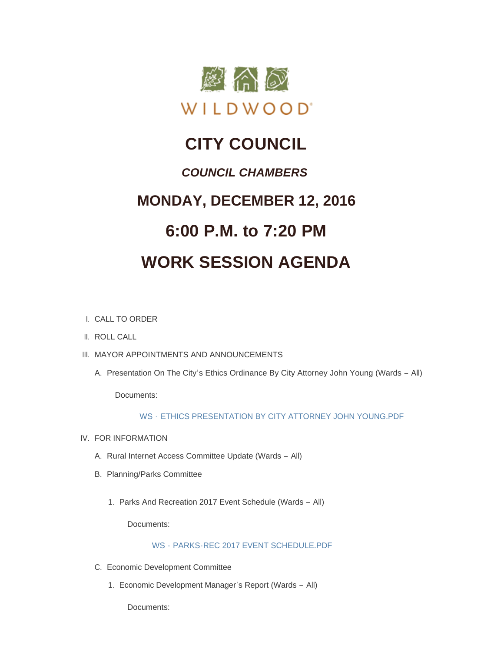

## **CITY COUNCIL** *COUNCIL CHAMBERS*

# **MONDAY, DECEMBER 12, 2016 6:00 P.M. to 7:20 PM**

## **WORK SESSION AGENDA**

- CALL TO ORDER I.
- II. ROLL CALL
- III. MAYOR APPOINTMENTS AND ANNOUNCEMENTS
	- A. Presentation On The City's Ethics Ordinance By City Attorney John Young (Wards All)

Documents:

### WS - [ETHICS PRESENTATION BY CITY ATTORNEY JOHN YOUNG.PDF](http://mo-wildwood.civicplus.com/AgendaCenter/ViewFile/Item/9249?fileID=13481)

- IV. FOR INFORMATION
	- A. Rural Internet Access Committee Update (Wards All)
	- B. Planning/Parks Committee
		- 1. Parks And Recreation 2017 Event Schedule (Wards All)

Documents:

WS - [PARKS-REC 2017 EVENT SCHEDULE.PDF](http://mo-wildwood.civicplus.com/AgendaCenter/ViewFile/Item/9253?fileID=13465)

- Economic Development Committee C.
	- 1. Economic Development Manager's Report (Wards All)

Documents: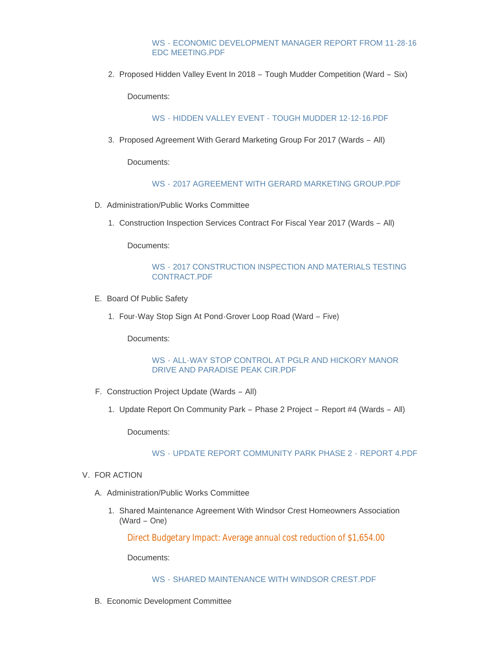#### WS - [ECONOMIC DEVELOPMENT MANAGER REPORT FROM 11-28-16](http://mo-wildwood.civicplus.com/AgendaCenter/ViewFile/Item/9229?fileID=13456)  EDC MEETING.PDF

2. Proposed Hidden Valley Event In 2018 – Tough Mudder Competition (Ward – Six)

Documents:

WS - HIDDEN VALLEY EVENT - [TOUGH MUDDER 12-12-16.PDF](http://mo-wildwood.civicplus.com/AgendaCenter/ViewFile/Item/9230?fileID=13457)

3. Proposed Agreement With Gerard Marketing Group For 2017 (Wards - All)

Documents:

#### WS - [2017 AGREEMENT WITH GERARD MARKETING GROUP.PDF](http://mo-wildwood.civicplus.com/AgendaCenter/ViewFile/Item/9231?fileID=13458)

- D. Administration/Public Works Committee
	- 1. Construction Inspection Services Contract For Fiscal Year 2017 (Wards All)

Documents:

#### WS - [2017 CONSTRUCTION INSPECTION AND MATERIALS TESTING](http://mo-wildwood.civicplus.com/AgendaCenter/ViewFile/Item/9233?fileID=13459)  CONTRACT.PDF

- E. Board Of Public Safety
	- Four-Way Stop Sign At Pond-Grover Loop Road (Ward Five) 1.

Documents:

#### WS - [ALL-WAY STOP CONTROL AT PGLR AND HICKORY MANOR](http://mo-wildwood.civicplus.com/AgendaCenter/ViewFile/Item/9235?fileID=13460)  DRIVE AND PARADISE PEAK CIR.PDF

- F. Construction Project Update (Wards All)
	- 1. Update Report On Community Park Phase 2 Project Report #4 (Wards All)

Documents:

#### WS - [UPDATE REPORT COMMUNITY PARK PHASE 2 -](http://mo-wildwood.civicplus.com/AgendaCenter/ViewFile/Item/9238?fileID=13462) REPORT 4.PDF

#### V. FOR ACTION

- A. Administration/Public Works Committee
	- 1. Shared Maintenance Agreement With Windsor Crest Homeowners Association (Ward – One)

Direct Budgetary Impact: Average annual cost reduction of \$1,654.00

Documents:

#### WS - [SHARED MAINTENANCE WITH WINDSOR CREST.PDF](http://mo-wildwood.civicplus.com/AgendaCenter/ViewFile/Item/9240?fileID=13463)

Economic Development Committee B.